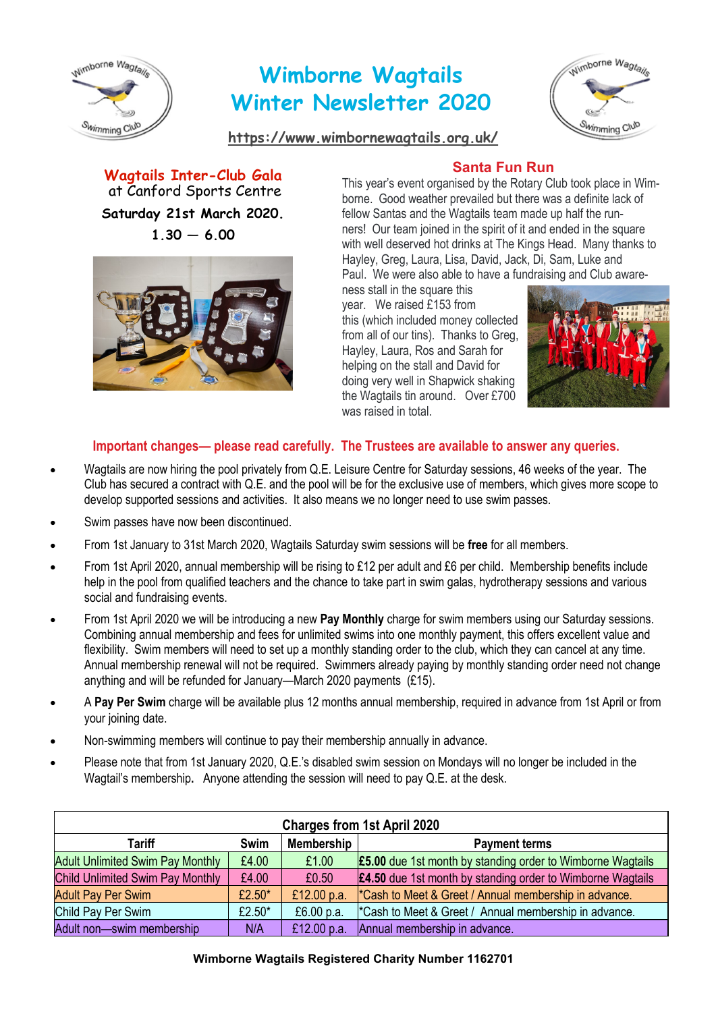

# **Wimborne Wagtails Winter Newsletter 2020**



**<https://www.wimbornewagtails.org.uk/>**

**Wagtails Inter-Club Gala**  at Canford Sports Centre **Saturday 21st March 2020.**  $1.30 - 6.00$ 



# **Santa Fun Run**

This year's event organised by the Rotary Club took place in Wimborne. Good weather prevailed but there was a definite lack of fellow Santas and the Wagtails team made up half the runners! Our team joined in the spirit of it and ended in the square with well deserved hot drinks at The Kings Head. Many thanks to Hayley, Greg, Laura, Lisa, David, Jack, Di, Sam, Luke and Paul. We were also able to have a fundraising and Club aware-

ness stall in the square this year. We raised £153 from this (which included money collected from all of our tins). Thanks to Greg, Hayley, Laura, Ros and Sarah for helping on the stall and David for doing very well in Shapwick shaking the Wagtails tin around. Over £700 was raised in total.



## **Important changes— please read carefully. The Trustees are available to answer any queries.**

- Wagtails are now hiring the pool privately from Q.E. Leisure Centre for Saturday sessions, 46 weeks of the year. The Club has secured a contract with Q.E. and the pool will be for the exclusive use of members, which gives more scope to develop supported sessions and activities. It also means we no longer need to use swim passes.
- Swim passes have now been discontinued.
- From 1st January to 31st March 2020, Wagtails Saturday swim sessions will be **free** for all members.
- From 1st April 2020, annual membership will be rising to £12 per adult and £6 per child. Membership benefits include help in the pool from qualified teachers and the chance to take part in swim galas, hydrotherapy sessions and various social and fundraising events.
- From 1st April 2020 we will be introducing a new **Pay Monthly** charge for swim members using our Saturday sessions. Combining annual membership and fees for unlimited swims into one monthly payment, this offers excellent value and flexibility. Swim members will need to set up a monthly standing order to the club, which they can cancel at any time. Annual membership renewal will not be required. Swimmers already paying by monthly standing order need not change anything and will be refunded for January—March 2020 payments (£15).
- A **Pay Per Swim** charge will be available plus 12 months annual membership, required in advance from 1st April or from your joining date.
- Non-swimming members will continue to pay their membership annually in advance.
- Please note that from 1st January 2020, Q.E.'s disabled swim session on Mondays will no longer be included in the Wagtail's membership**.** Anyone attending the session will need to pay Q.E. at the desk.

| <b>Charges from 1st April 2020</b>      |           |                   |                                                                   |  |  |
|-----------------------------------------|-----------|-------------------|-------------------------------------------------------------------|--|--|
| <b>Tariff</b>                           | Swim      | <b>Membership</b> | <b>Payment terms</b>                                              |  |  |
| <b>Adult Unlimited Swim Pay Monthly</b> | £4.00     | £1.00             | <b>£5.00</b> due 1st month by standing order to Wimborne Wagtails |  |  |
| Child Unlimited Swim Pay Monthly        | £4.00     | £0.50             | <b>£4.50</b> due 1st month by standing order to Wimborne Wagtails |  |  |
| <b>Adult Pay Per Swim</b>               | £2.50 $*$ | £12.00 p.a.       | *Cash to Meet & Greet / Annual membership in advance.             |  |  |
| Child Pay Per Swim                      | £2.50 $*$ | £6.00 p.a.        | "Cash to Meet & Greet / Annual membership in advance.             |  |  |
| Adult non-swim membership               | N/A       | £12.00 p.a.       | Annual membership in advance.                                     |  |  |

#### **Wimborne Wagtails Registered Charity Number 1162701**